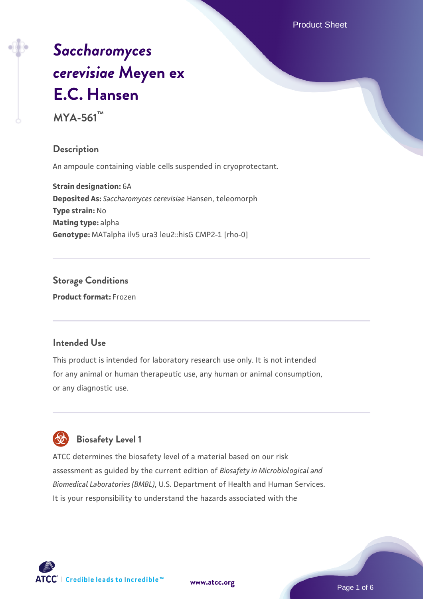Product Sheet

# *[Saccharomyces](https://www.atcc.org/products/mya-561) [cerevisiae](https://www.atcc.org/products/mya-561)* **[Meyen ex](https://www.atcc.org/products/mya-561) [E.C. Hansen](https://www.atcc.org/products/mya-561)**

**MYA-561™**

### **Description**

An ampoule containing viable cells suspended in cryoprotectant.

**Strain designation:** 6A **Deposited As:** *Saccharomyces cerevisiae* Hansen, teleomorph **Type strain:** No **Mating type:** alpha **Genotype:** MATalpha ilv5 ura3 leu2::hisG CMP2-1 [rho-0]

**Storage Conditions Product format:** Frozen

### **Intended Use**

This product is intended for laboratory research use only. It is not intended for any animal or human therapeutic use, any human or animal consumption, or any diagnostic use.



ATCC determines the biosafety level of a material based on our risk assessment as guided by the current edition of *Biosafety in Microbiological and Biomedical Laboratories (BMBL)*, U.S. Department of Health and Human Services.

It is your responsibility to understand the hazards associated with the

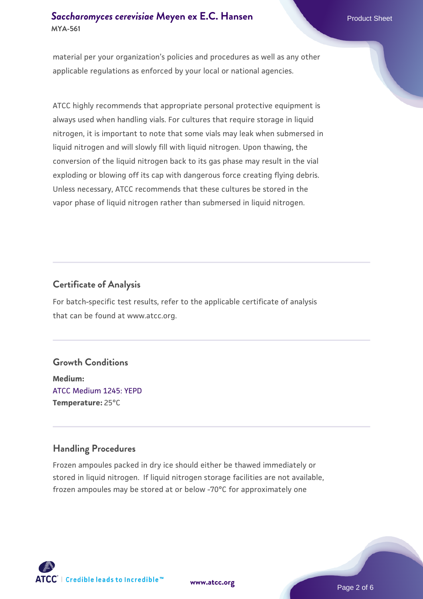### **[Saccharomyces cerevisiae](https://www.atcc.org/products/mya-561)** [Meyen ex E.C. Hansen](https://www.atcc.org/products/mya-561) **MYA-561**

material per your organization's policies and procedures as well as any other applicable regulations as enforced by your local or national agencies.

ATCC highly recommends that appropriate personal protective equipment is always used when handling vials. For cultures that require storage in liquid nitrogen, it is important to note that some vials may leak when submersed in liquid nitrogen and will slowly fill with liquid nitrogen. Upon thawing, the conversion of the liquid nitrogen back to its gas phase may result in the vial exploding or blowing off its cap with dangerous force creating flying debris. Unless necessary, ATCC recommends that these cultures be stored in the vapor phase of liquid nitrogen rather than submersed in liquid nitrogen.

### **Certificate of Analysis**

For batch-specific test results, refer to the applicable certificate of analysis that can be found at www.atcc.org.

### **Growth Conditions**

**Medium:**  [ATCC Medium 1245: YEPD](https://www.atcc.org/-/media/product-assets/documents/microbial-media-formulations/1/2/4/5/atcc-medium-1245.pdf?rev=705ca55d1b6f490a808a965d5c072196) **Temperature:** 25°C

### **Handling Procedures**

Frozen ampoules packed in dry ice should either be thawed immediately or stored in liquid nitrogen. If liquid nitrogen storage facilities are not available, frozen ampoules may be stored at or below -70°C for approximately one



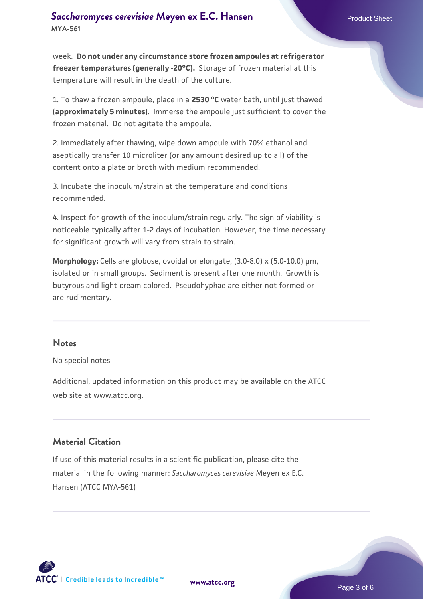week. **Do not under any circumstance store frozen ampoules at refrigerator freezer temperatures (generally -20°C).** Storage of frozen material at this temperature will result in the death of the culture.

1. To thaw a frozen ampoule, place in a **2530 °C** water bath, until just thawed (**approximately 5 minutes**). Immerse the ampoule just sufficient to cover the frozen material. Do not agitate the ampoule.

2. Immediately after thawing, wipe down ampoule with 70% ethanol and aseptically transfer 10 microliter (or any amount desired up to all) of the content onto a plate or broth with medium recommended.

3. Incubate the inoculum/strain at the temperature and conditions recommended.

4. Inspect for growth of the inoculum/strain regularly. The sign of viability is noticeable typically after 1-2 days of incubation. However, the time necessary for significant growth will vary from strain to strain.

**Morphology:** Cells are globose, ovoidal or elongate, (3.0-8.0) x (5.0-10.0) µm, isolated or in small groups. Sediment is present after one month. Growth is butyrous and light cream colored. Pseudohyphae are either not formed or are rudimentary.

### **Notes**

No special notes

Additional, updated information on this product may be available on the ATCC web site at www.atcc.org.

### **Material Citation**

If use of this material results in a scientific publication, please cite the material in the following manner: *Saccharomyces cerevisiae* Meyen ex E.C. Hansen (ATCC MYA-561)

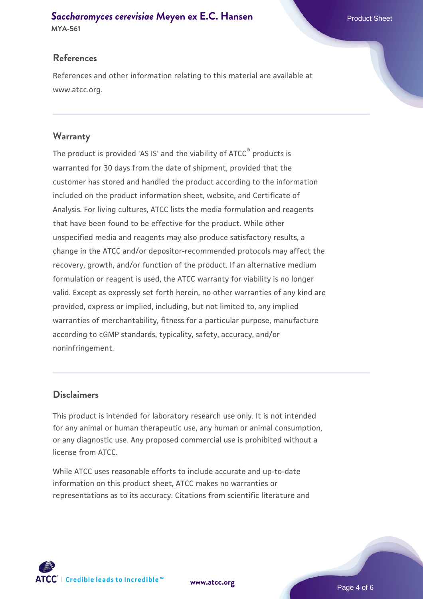## **[Saccharomyces cerevisiae](https://www.atcc.org/products/mya-561)** [Meyen ex E.C. Hansen](https://www.atcc.org/products/mya-561)

**MYA-561**

### **References**

References and other information relating to this material are available at www.atcc.org.

### **Warranty**

The product is provided 'AS IS' and the viability of ATCC® products is warranted for 30 days from the date of shipment, provided that the customer has stored and handled the product according to the information included on the product information sheet, website, and Certificate of Analysis. For living cultures, ATCC lists the media formulation and reagents that have been found to be effective for the product. While other unspecified media and reagents may also produce satisfactory results, a change in the ATCC and/or depositor-recommended protocols may affect the recovery, growth, and/or function of the product. If an alternative medium formulation or reagent is used, the ATCC warranty for viability is no longer valid. Except as expressly set forth herein, no other warranties of any kind are provided, express or implied, including, but not limited to, any implied warranties of merchantability, fitness for a particular purpose, manufacture according to cGMP standards, typicality, safety, accuracy, and/or noninfringement.

### **Disclaimers**

This product is intended for laboratory research use only. It is not intended for any animal or human therapeutic use, any human or animal consumption, or any diagnostic use. Any proposed commercial use is prohibited without a license from ATCC.

While ATCC uses reasonable efforts to include accurate and up-to-date information on this product sheet, ATCC makes no warranties or representations as to its accuracy. Citations from scientific literature and



**[www.atcc.org](http://www.atcc.org)**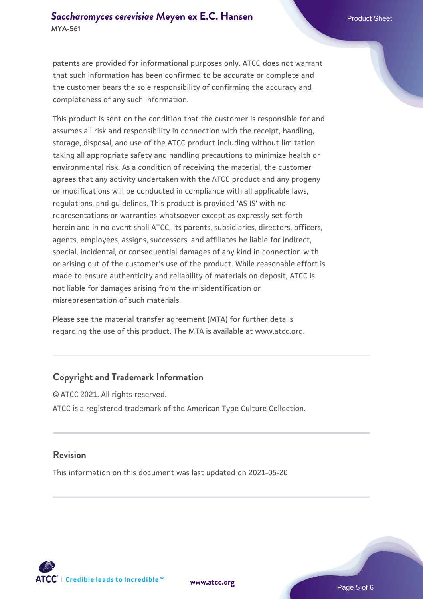patents are provided for informational purposes only. ATCC does not warrant that such information has been confirmed to be accurate or complete and the customer bears the sole responsibility of confirming the accuracy and completeness of any such information.

This product is sent on the condition that the customer is responsible for and assumes all risk and responsibility in connection with the receipt, handling, storage, disposal, and use of the ATCC product including without limitation taking all appropriate safety and handling precautions to minimize health or environmental risk. As a condition of receiving the material, the customer agrees that any activity undertaken with the ATCC product and any progeny or modifications will be conducted in compliance with all applicable laws, regulations, and guidelines. This product is provided 'AS IS' with no representations or warranties whatsoever except as expressly set forth herein and in no event shall ATCC, its parents, subsidiaries, directors, officers, agents, employees, assigns, successors, and affiliates be liable for indirect, special, incidental, or consequential damages of any kind in connection with or arising out of the customer's use of the product. While reasonable effort is made to ensure authenticity and reliability of materials on deposit, ATCC is not liable for damages arising from the misidentification or misrepresentation of such materials.

Please see the material transfer agreement (MTA) for further details regarding the use of this product. The MTA is available at www.atcc.org.

### **Copyright and Trademark Information**

© ATCC 2021. All rights reserved. ATCC is a registered trademark of the American Type Culture Collection.

### **Revision**

This information on this document was last updated on 2021-05-20



**[www.atcc.org](http://www.atcc.org)**